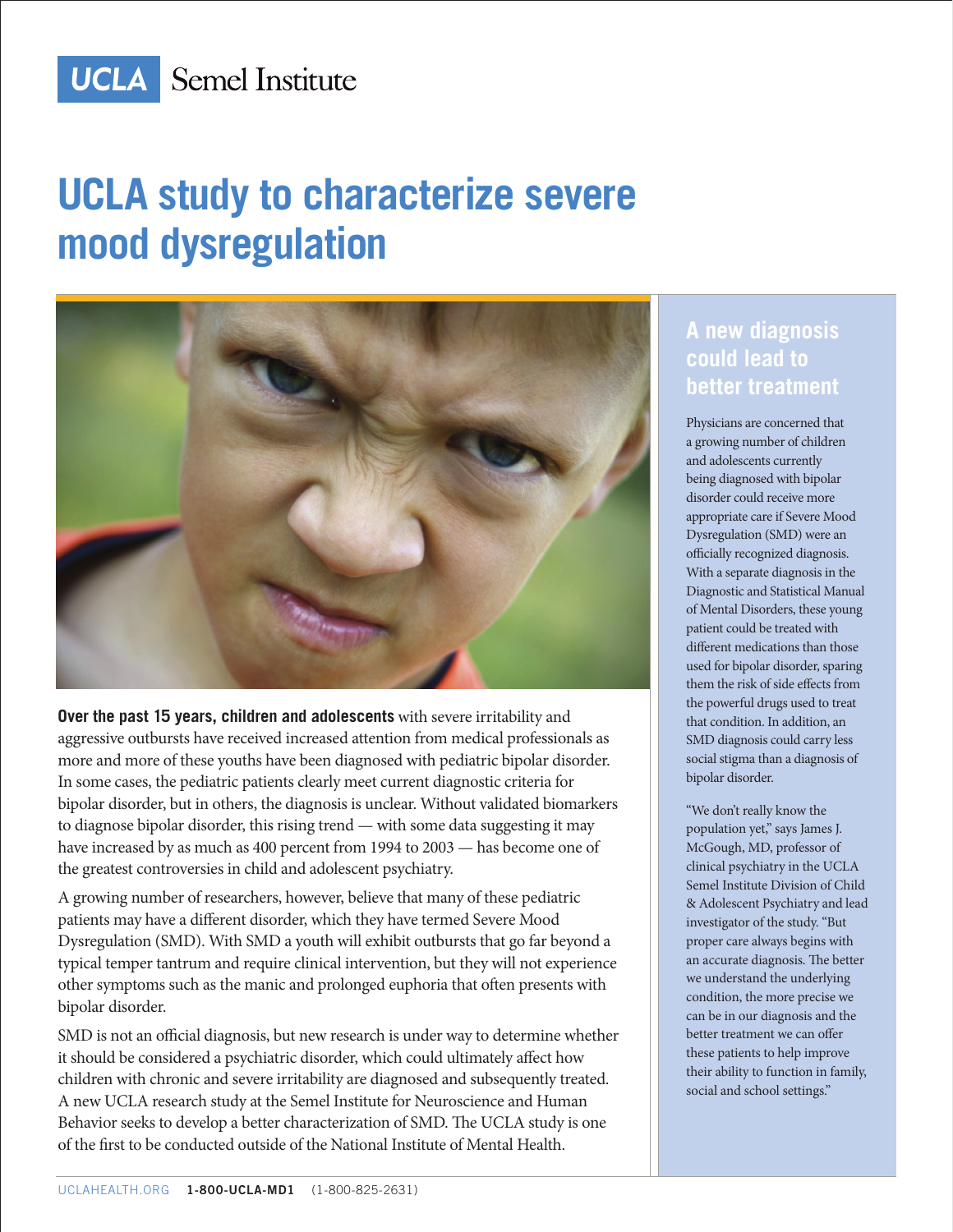

# **UCLA study to characterize severe mood dysregulation**



**Over the past 15 years, children and adolescents** with severe irritability and aggressive outbursts have received increased attention from medical professionals as more and more of these youths have been diagnosed with pediatric bipolar disorder. In some cases, the pediatric patients clearly meet current diagnostic criteria for bipolar disorder, but in others, the diagnosis is unclear. Without validated biomarkers to diagnose bipolar disorder, this rising trend — with some data suggesting it may have increased by as much as 400 percent from 1994 to 2003 — has become one of the greatest controversies in child and adolescent psychiatry.

A growing number of researchers, however, believe that many of these pediatric patients may have a different disorder, which they have termed Severe Mood Dysregulation (SMD). With SMD a youth will exhibit outbursts that go far beyond a typical temper tantrum and require clinical intervention, but they will not experience other symptoms such as the manic and prolonged euphoria that often presents with bipolar disorder.

SMD is not an official diagnosis, but new research is under way to determine whether it should be considered a psychiatric disorder, which could ultimately affect how children with chronic and severe irritability are diagnosed and subsequently treated. A new UCLA research study at the Semel Institute for Neuroscience and Human Behavior seeks to develop a better characterization of SMD. The UCLA study is one of the first to be conducted outside of the National Institute of Mental Health.

### **A new diagnosis could lead to better treatment**

Physicians are concerned that a growing number of children and adolescents currently being diagnosed with bipolar disorder could receive more appropriate care if Severe Mood Dysregulation (SMD) were an officially recognized diagnosis. With a separate diagnosis in the Diagnostic and Statistical Manual of Mental Disorders, these young patient could be treated with different medications than those used for bipolar disorder, sparing them the risk of side effects from the powerful drugs used to treat that condition. In addition, an SMD diagnosis could carry less social stigma than a diagnosis of bipolar disorder.

"We don't really know the population yet," says James J. McGough, MD, professor of clinical psychiatry in the UCLA Semel Institute Division of Child & Adolescent Psychiatry and lead investigator of the study. "But proper care always begins with an accurate diagnosis. The better we understand the underlying condition, the more precise we can be in our diagnosis and the better treatment we can offer these patients to help improve their ability to function in family, social and school settings."